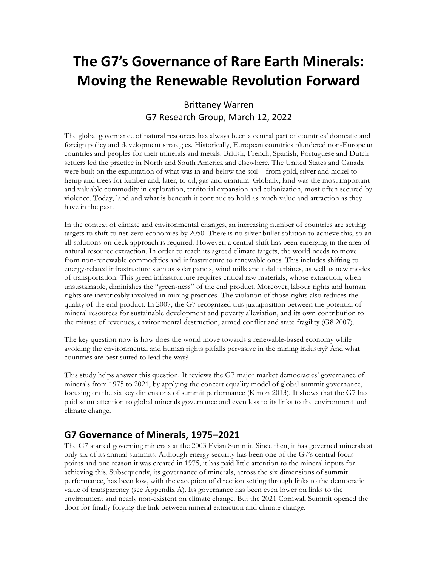# **The G7's Governance of Rare Earth Minerals: Moving the Renewable Revolution Forward**

### Brittaney Warren G7 Research Group, March 12, 2022

The global governance of natural resources has always been a central part of countries' domestic and foreign policy and development strategies. Historically, European countries plundered non-European countries and peoples for their minerals and metals. British, French, Spanish, Portuguese and Dutch settlers led the practice in North and South America and elsewhere. The United States and Canada were built on the exploitation of what was in and below the soil – from gold, silver and nickel to hemp and trees for lumber and, later, to oil, gas and uranium. Globally, land was the most important and valuable commodity in exploration, territorial expansion and colonization, most often secured by violence. Today, land and what is beneath it continue to hold as much value and attraction as they have in the past.

In the context of climate and environmental changes, an increasing number of countries are setting targets to shift to net-zero economies by 2050. There is no silver bullet solution to achieve this, so an all-solutions-on-deck approach is required. However, a central shift has been emerging in the area of natural resource extraction. In order to reach its agreed climate targets, the world needs to move from non-renewable commodities and infrastructure to renewable ones. This includes shifting to energy-related infrastructure such as solar panels, wind mills and tidal turbines, as well as new modes of transportation. This green infrastructure requires critical raw materials, whose extraction, when unsustainable, diminishes the "green-ness" of the end product. Moreover, labour rights and human rights are inextricably involved in mining practices. The violation of those rights also reduces the quality of the end product. In 2007, the G7 recognized this juxtaposition between the potential of mineral resources for sustainable development and poverty alleviation, and its own contribution to the misuse of revenues, environmental destruction, armed conflict and state fragility (G8 2007).

The key question now is how does the world move towards a renewable-based economy while avoiding the environmental and human rights pitfalls pervasive in the mining industry? And what countries are best suited to lead the way?

This study helps answer this question. It reviews the G7 major market democracies' governance of minerals from 1975 to 2021, by applying the concert equality model of global summit governance, focusing on the six key dimensions of summit performance (Kirton 2013). It shows that the G7 has paid scant attention to global minerals governance and even less to its links to the environment and climate change.

### **G7 Governance of Minerals, 1975–2021**

The G7 started governing minerals at the 2003 Evian Summit. Since then, it has governed minerals at only six of its annual summits. Although energy security has been one of the G7's central focus points and one reason it was created in 1975, it has paid little attention to the mineral inputs for achieving this. Subsequently, its governance of minerals, across the six dimensions of summit performance, has been low, with the exception of direction setting through links to the democratic value of transparency (see Appendix A). Its governance has been even lower on links to the environment and nearly non-existent on climate change. But the 2021 Cornwall Summit opened the door for finally forging the link between mineral extraction and climate change.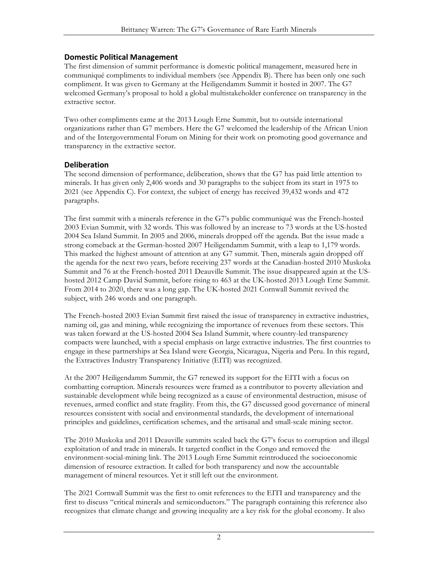#### **Domestic Political Management**

The first dimension of summit performance is domestic political management, measured here in communiqué compliments to individual members (see Appendix B). There has been only one such compliment. It was given to Germany at the Heiligendamm Summit it hosted in 2007. The G7 welcomed Germany's proposal to hold a global multistakeholder conference on transparency in the extractive sector.

Two other compliments came at the 2013 Lough Erne Summit, but to outside international organizations rather than G7 members. Here the G7 welcomed the leadership of the African Union and of the Intergovernmental Forum on Mining for their work on promoting good governance and transparency in the extractive sector.

#### **Deliberation**

The second dimension of performance, deliberation, shows that the G7 has paid little attention to minerals. It has given only 2,406 words and 30 paragraphs to the subject from its start in 1975 to 2021 (see Appendix C). For context, the subject of energy has received 39,432 words and 472 paragraphs.

The first summit with a minerals reference in the G7's public communiqué was the French-hosted 2003 Evian Summit, with 32 words. This was followed by an increase to 73 words at the US-hosted 2004 Sea Island Summit. In 2005 and 2006, minerals dropped off the agenda. But the issue made a strong comeback at the German-hosted 2007 Heiligendamm Summit, with a leap to 1,179 words. This marked the highest amount of attention at any G7 summit. Then, minerals again dropped off the agenda for the next two years, before receiving 237 words at the Canadian-hosted 2010 Muskoka Summit and 76 at the French-hosted 2011 Deauville Summit. The issue disappeared again at the UShosted 2012 Camp David Summit, before rising to 463 at the UK-hosted 2013 Lough Erne Summit. From 2014 to 2020, there was a long gap. The UK-hosted 2021 Cornwall Summit revived the subject, with 246 words and one paragraph.

The French-hosted 2003 Evian Summit first raised the issue of transparency in extractive industries, naming oil, gas and mining, while recognizing the importance of revenues from these sectors. This was taken forward at the US-hosted 2004 Sea Island Summit, where country-led transparency compacts were launched, with a special emphasis on large extractive industries. The first countries to engage in these partnerships at Sea Island were Georgia, Nicaragua, Nigeria and Peru. In this regard, the Extractives Industry Transparency Initiative (EITI) was recognized.

At the 2007 Heiligendamm Summit, the G7 renewed its support for the EITI with a focus on combatting corruption. Minerals resources were framed as a contributor to poverty alleviation and sustainable development while being recognized as a cause of environmental destruction, misuse of revenues, armed conflict and state fragility. From this, the G7 discussed good governance of mineral resources consistent with social and environmental standards, the development of international principles and guidelines, certification schemes, and the artisanal and small-scale mining sector.

The 2010 Muskoka and 2011 Deauville summits scaled back the G7's focus to corruption and illegal exploitation of and trade in minerals. It targeted conflict in the Congo and removed the environment-social-mining link. The 2013 Lough Erne Summit reintroduced the socioeconomic dimension of resource extraction. It called for both transparency and now the accountable management of mineral resources. Yet it still left out the environment.

The 2021 Cornwall Summit was the first to omit references to the EITI and transparency and the first to discuss "critical minerals and semiconductors." The paragraph containing this reference also recognizes that climate change and growing inequality are a key risk for the global economy. It also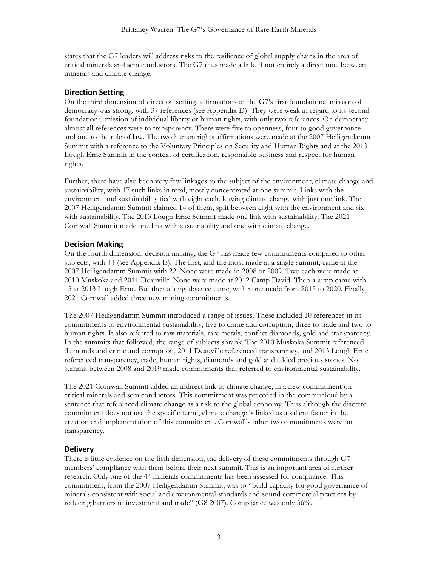states that the G7 leaders will address risks to the resilience of global supply chains in the area of critical minerals and semiconductors. The G7 thus made a link, if not entirely a direct one, between minerals and climate change.

### **Direction Setting**

On the third dimension of direction setting, affirmations of the G7's first foundational mission of democracy was strong, with 37 references (see Appendix D). They were weak in regard to its second foundational mission of individual liberty or human rights, with only two references. On democracy almost all references were to transparency. There were five to openness, four to good governance and one to the rule of law. The two human rights affirmations were made at the 2007 Heiligendamm Summit with a reference to the Voluntary Principles on Security and Human Rights and at the 2013 Lough Erne Summit in the context of certification, responsible business and respect for human rights.

Further, there have also been very few linkages to the subject of the environment, climate change and sustainability, with 17 such links in total, mostly concentrated at one summit. Links with the environment and sustainability tied with eight each, leaving climate change with just one link. The 2007 Heiligendamm Summit claimed 14 of them, split between eight with the environment and six with sustainability. The 2013 Lough Erne Summit made one link with sustainability. The 2021 Cornwall Summit made one link with sustainability and one with climate change.

### **Decision Making**

On the fourth dimension, decision making, the G7 has made few commitments compared to other subjects, with 44 (see Appendix E). The first, and the most made at a single summit, came at the 2007 Heiligendamm Summit with 22. None were made in 2008 or 2009. Two each were made at 2010 Muskoka and 2011 Deauville. None were made at 2012 Camp David. Then a jump came with 15 at 2013 Lough Erne. But then a long absence came, with none made from 2015 to 2020. Finally, 2021 Cornwall added three new mining commitments.

The 2007 Heiligendamm Summit introduced a range of issues. These included 10 references in its commitments to environmental sustainability, five to crime and corruption, three to trade and two to human rights. It also referred to raw materials, rare metals, conflict diamonds, gold and transparency. In the summits that followed, the range of subjects shrank. The 2010 Muskoka Summit referenced diamonds and crime and corruption, 2011 Deauville referenced transparency, and 2013 Lough Erne referenced transparency, trade, human rights, diamonds and gold and added precious stones. No summit between 2008 and 2019 made commitments that referred to environmental sustainability.

The 2021 Cornwall Summit added an indirect link to climate change, in a new commitment on critical minerals and semiconductors. This commitment was preceded in the communiqué by a sentence that referenced climate change as a risk to the global economy. Thus although the discrete commitment does not use the specific term , climate change is linked as a salient factor in the creation and implementation of this commitment. Cornwall's other two commitments were on transparency.

### **Delivery**

There is little evidence on the fifth dimension, the delivery of these commitments through G7 members' compliance with them before their next summit. This is an important area of further research. Only one of the 44 minerals commitments has been assessed for compliance. This commitment, from the 2007 Heiligendamm Summit, was to "build capacity for good governance of minerals consistent with social and environmental standards and sound commercial practices by reducing barriers to investment and trade" (G8 2007). Compliance was only 56%.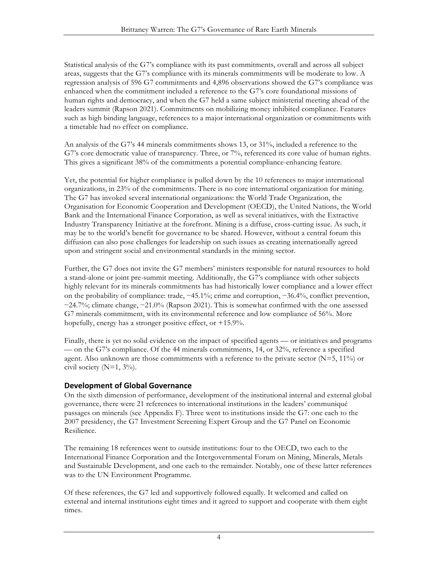Statistical analysis of the G7's compliance with its past commitments, overall and across all subject areas, suggests that the G7's compliance with its minerals commitments will be moderate to low. A regression analysis of 596 G7 commitments and 4,896 observations showed the G7's compliance was enhanced when the commitment included a reference to the G7's core foundational missions of human rights and democracy, and when the G7 held a same subject ministerial meeting ahead of the leaders summit (Rapson 2021). Commitments on mobilizing money inhibited compliance. Features such as high binding language, references to a major international organization or commitments with a timetable had no effect on compliance.

An analysis of the G7's 44 minerals commitments shows 13, or 31%, included a reference to the G7's core democratic value of transparency. Three, or 7%, referenced its core value of human rights. This gives a significant 38% of the commitments a potential compliance-enhancing feature.

Yet, the potential for higher compliance is pulled down by the 10 references to major international organizations, in 23% of the commitments. There is no core international organization for mining. The G7 has invoked several international organizations: the World Trade Organization, the Organisation for Economic Cooperation and Development (OECD), the United Nations, the World Bank and the International Finance Corporation, as well as several initiatives, with the Extractive Industry Transparency Initiative at the forefront. Mining is a diffuse, cross-cutting issue. As such, it may be to the world's benefit for governance to be shared. However, without a central forum this diffusion can also pose challenges for leadership on such issues as creating internationally agreed upon and stringent social and environmental standards in the mining sector.

Further, the G7 does not invite the G7 members' ministers responsible for natural resources to hold a stand-alone or joint pre-summit meeting. Additionally, the G7's compliance with other subjects highly relevant for its minerals commitments has had historically lower compliance and a lower effect on the probability of compliance: trade, −45.1%; crime and corruption, −36.4%, conflict prevention, −24.7%; climate change, −21.0% (Rapson 2021). This is somewhat confirmed with the one assessed G7 minerals commitment, with its environmental reference and low compliance of 56%. More hopefully, energy has a stronger positive effect, or +15.9%.

Finally, there is yet no solid evidence on the impact of specified agents — or initiatives and programs — on the G7's compliance. Of the 44 minerals commitments, 14, or 32%, reference a specified agent. Also unknown are those commitments with a reference to the private sector  $(N=5, 11\%)$  or civil society  $(N=1, 3\%)$ .

#### **Development of Global Governance**

On the sixth dimension of performance, development of the institutional internal and external global governance, there were 21 references to international institutions in the leaders' communiqué passages on minerals (see Appendix F). Three went to institutions inside the G7: one each to the 2007 presidency, the G7 Investment Screening Expert Group and the G7 Panel on Economic Resilience.

The remaining 18 references went to outside institutions: four to the OECD, two each to the International Finance Corporation and the Intergovernmental Forum on Mining, Minerals, Metals and Sustainable Development, and one each to the remainder. Notably, one of these latter references was to the UN Environment Programme.

Of these references, the G7 led and supportively followed equally. It welcomed and called on external and internal institutions eight times and it agreed to support and cooperate with them eight times.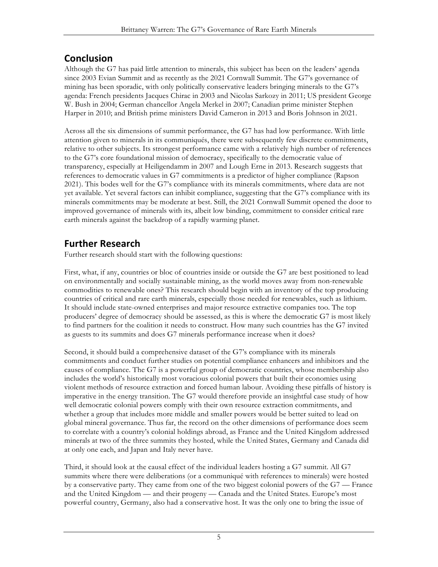# **Conclusion**

Although the G7 has paid little attention to minerals, this subject has been on the leaders' agenda since 2003 Evian Summit and as recently as the 2021 Cornwall Summit. The G7's governance of mining has been sporadic, with only politically conservative leaders bringing minerals to the G7's agenda: French presidents Jacques Chirac in 2003 and Nicolas Sarkozy in 2011; US president George W. Bush in 2004; German chancellor Angela Merkel in 2007; Canadian prime minister Stephen Harper in 2010; and British prime ministers David Cameron in 2013 and Boris Johnson in 2021.

Across all the six dimensions of summit performance, the G7 has had low performance. With little attention given to minerals in its communiqués, there were subsequently few discrete commitments, relative to other subjects. Its strongest performance came with a relatively high number of references to the G7's core foundational mission of democracy, specifically to the democratic value of transparency, especially at Heiligendamm in 2007 and Lough Erne in 2013. Research suggests that references to democratic values in G7 commitments is a predictor of higher compliance (Rapson 2021). This bodes well for the G7's compliance with its minerals commitments, where data are not yet available. Yet several factors can inhibit compliance, suggesting that the G7's compliance with its minerals commitments may be moderate at best. Still, the 2021 Cornwall Summit opened the door to improved governance of minerals with its, albeit low binding, commitment to consider critical rare earth minerals against the backdrop of a rapidly warming planet.

# **Further Research**

Further research should start with the following questions:

First, what, if any, countries or bloc of countries inside or outside the G7 are best positioned to lead on environmentally and socially sustainable mining, as the world moves away from non-renewable commodities to renewable ones? This research should begin with an inventory of the top producing countries of critical and rare earth minerals, especially those needed for renewables, such as lithium. It should include state-owned enterprises and major resource extractive companies too. The top producers' degree of democracy should be assessed, as this is where the democratic G7 is most likely to find partners for the coalition it needs to construct. How many such countries has the G7 invited as guests to its summits and does G7 minerals performance increase when it does?

Second, it should build a comprehensive dataset of the G7's compliance with its minerals commitments and conduct further studies on potential compliance enhancers and inhibitors and the causes of compliance. The G7 is a powerful group of democratic countries, whose membership also includes the world's historically most voracious colonial powers that built their economies using violent methods of resource extraction and forced human labour. Avoiding these pitfalls of history is imperative in the energy transition. The G7 would therefore provide an insightful case study of how well democratic colonial powers comply with their own resource extraction commitments, and whether a group that includes more middle and smaller powers would be better suited to lead on global mineral governance. Thus far, the record on the other dimensions of performance does seem to correlate with a country's colonial holdings abroad, as France and the United Kingdom addressed minerals at two of the three summits they hosted, while the United States, Germany and Canada did at only one each, and Japan and Italy never have.

Third, it should look at the causal effect of the individual leaders hosting a G7 summit. All G7 summits where there were deliberations (or a communiqué with references to minerals) were hosted by a conservative party. They came from one of the two biggest colonial powers of the G7 — France and the United Kingdom — and their progeny — Canada and the United States. Europe's most powerful country, Germany, also had a conservative host. It was the only one to bring the issue of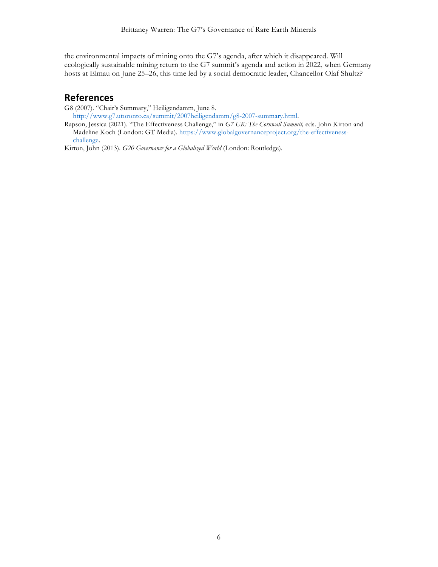the environmental impacts of mining onto the G7's agenda, after which it disappeared. Will ecologically sustainable mining return to the G7 summit's agenda and action in 2022, when Germany hosts at Elmau on June 25–26, this time led by a social democratic leader, Chancellor Olaf Shultz?

# **References**

G8 (2007). "Chair's Summary," Heiligendamm, June 8*.*

http://www.g7.utoronto.ca/summit/2007heiligendamm/g8-2007-summary.html.

Rapson, Jessica (2021). "The Effectiveness Challenge," in *G7 UK: The Cornwall Summit,* eds. John Kirton and Madeline Koch (London: GT Media). https://www.globalgovernanceproject.org/the-effectivenesschallenge.

Kirton, John (2013). *G20 Governance for a Globalized World* (London: Routledge).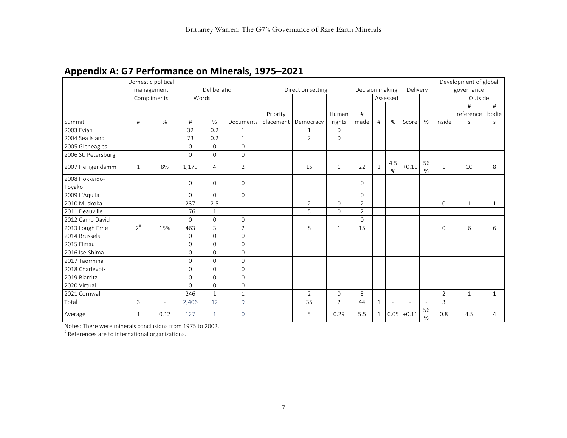| . .                      | Domestic political<br>management |        |              | Deliberation |                | Decision making |                |                | Delivery       |              | Development of global<br>governance |                |                          |                |              |              |
|--------------------------|----------------------------------|--------|--------------|--------------|----------------|-----------------|----------------|----------------|----------------|--------------|-------------------------------------|----------------|--------------------------|----------------|--------------|--------------|
|                          | Compliments                      |        | Words        |              |                |                 |                |                |                |              | Assessed                            |                |                          |                | Outside      |              |
|                          |                                  |        |              |              |                |                 |                |                |                |              |                                     |                |                          |                | #            | #            |
|                          |                                  |        |              |              |                | Priority        |                | Human          | #              |              |                                     |                |                          |                | reference    | bodie        |
| Summit                   | #                                | %      | #            | $\%$         | Documents      | placement       | Democracy      | rights         | made           | #            | %                                   | Score          | %                        | Inside         | $\mathsf S$  | S            |
| 2003 Evian               |                                  |        | 32           | 0.2          | $\mathbf{1}$   |                 | $\mathbf{1}$   | $\mathbf{0}$   |                |              |                                     |                |                          |                |              |              |
| 2004 Sea Island          |                                  |        | 73           | 0.2          | $\mathbf{1}$   |                 | $\overline{2}$ | $\Omega$       |                |              |                                     |                |                          |                |              |              |
| 2005 Gleneagles          |                                  |        | $\Omega$     | $\Omega$     | $\mathbf 0$    |                 |                |                |                |              |                                     |                |                          |                |              |              |
| 2006 St. Petersburg      |                                  |        | $\mathbf 0$  | $\mathbf{0}$ | $\overline{0}$ |                 |                |                |                |              |                                     |                |                          |                |              |              |
| 2007 Heiligendamm        | $\mathbf{1}$                     | 8%     | 1,179        | 4            | $\overline{2}$ |                 | 15             | $\mathbf{1}$   | 22             | $\mathbf{1}$ | 4.5<br>%                            | $+0.11$        | 56<br>%                  | $\mathbf{1}$   | 10           | 8            |
| 2008 Hokkaido-<br>Toyako |                                  |        | $\Omega$     | 0            | $\overline{0}$ |                 |                |                | $\Omega$       |              |                                     |                |                          |                |              |              |
| 2009 L'Aquila            |                                  |        | $\Omega$     | $\Omega$     | $\overline{0}$ |                 |                |                | $\Omega$       |              |                                     |                |                          |                |              |              |
| 2010 Muskoka             |                                  |        | 237          | 2.5          | $\mathbf{1}$   |                 | $\overline{2}$ | $\Omega$       | $\overline{2}$ |              |                                     |                |                          | $\Omega$       | $\mathbf{1}$ | $\mathbf{1}$ |
| 2011 Deauville           |                                  |        | 176          | $\mathbf{1}$ | $\mathbf{1}$   |                 | 5              | $\mathbf{0}$   | $\overline{2}$ |              |                                     |                |                          |                |              |              |
| 2012 Camp David          |                                  |        | $\Omega$     | $\Omega$     | $\overline{0}$ |                 |                |                | $\Omega$       |              |                                     |                |                          |                |              |              |
| 2013 Lough Erne          | 2 <sup>a</sup>                   | 15%    | 463          | 3            | $\overline{2}$ |                 | 8              | $\mathbf{1}$   | 15             |              |                                     |                |                          | $\mathbf{0}$   | 6            | 6            |
| 2014 Brussels            |                                  |        | $\Omega$     | $\Omega$     | $\Omega$       |                 |                |                |                |              |                                     |                |                          |                |              |              |
| 2015 Elmau               |                                  |        | $\Omega$     | $\Omega$     | $\overline{0}$ |                 |                |                |                |              |                                     |                |                          |                |              |              |
| 2016 Ise-Shima           |                                  |        | $\mathbf{O}$ | $\Omega$     | $\overline{0}$ |                 |                |                |                |              |                                     |                |                          |                |              |              |
| 2017 Taormina            |                                  |        | $\Omega$     | $\Omega$     | $\overline{0}$ |                 |                |                |                |              |                                     |                |                          |                |              |              |
| 2018 Charlevoix          |                                  |        | $\Omega$     | $\Omega$     | $\Omega$       |                 |                |                |                |              |                                     |                |                          |                |              |              |
| 2019 Biarritz            |                                  |        | $\mathbf{O}$ | $\Omega$     | $\overline{0}$ |                 |                |                |                |              |                                     |                |                          |                |              |              |
| 2020 Virtual             |                                  |        | $\Omega$     | $\Omega$     | $\overline{0}$ |                 |                |                |                |              |                                     |                |                          |                |              |              |
| 2021 Cornwall            |                                  |        | 246          | $\mathbf{1}$ | $\mathbf{1}$   |                 | 2              | $\mathbf{0}$   | $\overline{3}$ |              |                                     |                |                          | $\overline{2}$ | $\mathbf{1}$ | 1            |
| Total                    | 3                                | $\sim$ | 2,406        | 12           | 9              |                 | 35             | $\overline{2}$ | 44             | $\mathbf{1}$ | $\overline{a}$                      | $\overline{a}$ | $\overline{\phantom{a}}$ | $\overline{3}$ |              |              |
| Average                  | 1                                | 0.12   | 127          | $\mathbf{1}$ | $\circ$        |                 | 5              | 0.29           | 5.5            | $\mathbf{1}$ | 0.05                                | $+0.11$        | 56<br>%                  | 0.8            | 4.5          | 4            |

## **Appendix A: G7 Performance on Minerals, 1975–2021**

Notes: There were minerals conclusions from 1975 to 2002.<br><sup>a</sup> References are to international organizations.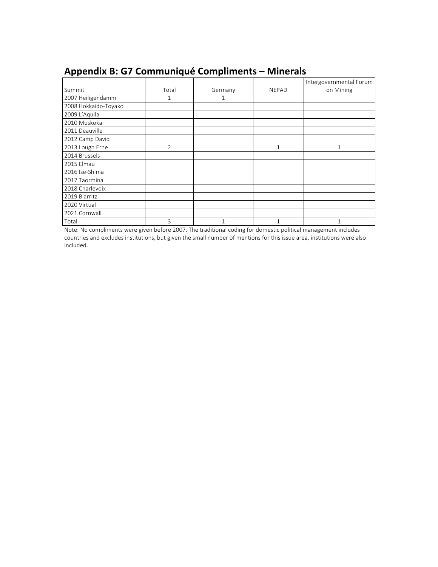| . .                  |                |         |              |                         |
|----------------------|----------------|---------|--------------|-------------------------|
|                      |                |         |              | Intergovernmental Forum |
| Summit               | Total          | Germany | <b>NEPAD</b> | on Mining               |
| 2007 Heiligendamm    | 1              | 1       |              |                         |
| 2008 Hokkaido-Toyako |                |         |              |                         |
| 2009 L'Aquila        |                |         |              |                         |
| 2010 Muskoka         |                |         |              |                         |
| 2011 Deauville       |                |         |              |                         |
| 2012 Camp David      |                |         |              |                         |
| 2013 Lough Erne      | $\overline{2}$ |         |              |                         |
| 2014 Brussels        |                |         |              |                         |
| 2015 Elmau           |                |         |              |                         |
| 2016 Ise-Shima       |                |         |              |                         |
| 2017 Taormina        |                |         |              |                         |
| 2018 Charlevoix      |                |         |              |                         |
| 2019 Biarritz        |                |         |              |                         |
| 2020 Virtual         |                |         |              |                         |
| 2021 Cornwall        |                |         |              |                         |
| Total                | 3              | 1       |              |                         |

# **Appendix B: G7 Communiqué Compliments – Minerals**

Note: No compliments were given before 2007. The traditional coding for domestic political management includes countries and excludes institutions, but given the small number of mentions for this issue area, institutions were also included.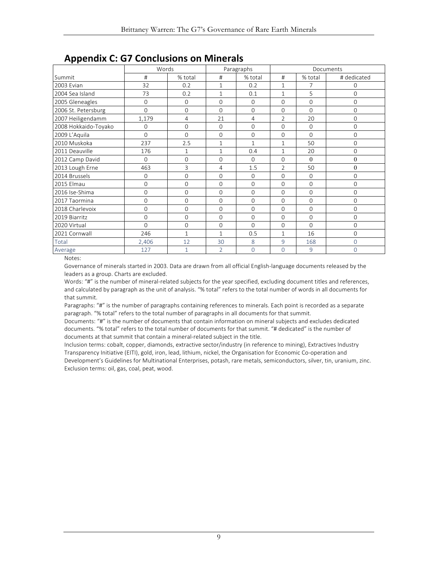|                      | Words          |                |                | Paragraphs     | Documents      |          |                     |  |  |  |  |
|----------------------|----------------|----------------|----------------|----------------|----------------|----------|---------------------|--|--|--|--|
| Summit               | #              | % total        | #              | % total        | #              | % total  | # dedicated         |  |  |  |  |
| 2003 Evian           | 32             | 0.2            | $\mathbf{1}$   | 0.2            | $\mathbf{1}$   | 7        | $\Omega$            |  |  |  |  |
| 2004 Sea Island      | 73             | 0.2            | $\mathbf{1}$   | 0.1            | $\mathbf{1}$   | 5        | $\mathbf 0$         |  |  |  |  |
| 2005 Gleneagles      | 0              | 0              | $\mathbf 0$    | $\mathbf{O}$   | $\Omega$       | 0        | $\mathsf{O}\xspace$ |  |  |  |  |
| 2006 St. Petersburg  | $\overline{0}$ | 0              | $\Omega$       | $\Omega$       | $\Omega$       | $\Omega$ | $\overline{0}$      |  |  |  |  |
| 2007 Heiligendamm    | 1,179          | $\overline{4}$ | 21             | $\overline{4}$ | $\overline{2}$ | 20       | $\overline{0}$      |  |  |  |  |
| 2008 Hokkaido-Toyako | $\mathbf{O}$   | 0              | $\Omega$       | $\Omega$       | $\Omega$       | 0        | $\mathbf{O}$        |  |  |  |  |
| 2009 L'Aquila        | $\overline{0}$ | $\overline{0}$ | $\overline{0}$ | $\overline{0}$ | $\Omega$       | $\Omega$ | $\overline{0}$      |  |  |  |  |
| 2010 Muskoka         | 237            | 2.5            | $\mathbf{1}$   | $\mathbf{1}$   | $\mathbf{1}$   | 50       | $\mathsf{O}\xspace$ |  |  |  |  |
| 2011 Deauville       | 176            | $\mathbf{1}$   | $\mathbf{1}$   | 0.4            | $\mathbf{1}$   | 20       | 0                   |  |  |  |  |
| 2012 Camp David      | $\Omega$       | 0              | $\Omega$       | $\Omega$       | $\Omega$       | $\theta$ | $\mathbf{0}$        |  |  |  |  |
| 2013 Lough Erne      | 463            | 3              | 4              | 1.5            | $\overline{2}$ | 50       | $\boldsymbol{0}$    |  |  |  |  |
| 2014 Brussels        | 0              | 0              | $\Omega$       | $\Omega$       | $\Omega$       | $\Omega$ | $\Omega$            |  |  |  |  |
| 2015 Elmau           | 0              | 0              | $\Omega$       | $\Omega$       | $\Omega$       | 0        | 0                   |  |  |  |  |
| 2016 Ise-Shima       | 0              | 0              | $\Omega$       | $\Omega$       | $\Omega$       | $\Omega$ | $\mathbf 0$         |  |  |  |  |
| 2017 Taormina        | $\Omega$       | 0              | $\Omega$       | $\Omega$       | $\Omega$       | $\Omega$ | $\overline{0}$      |  |  |  |  |
| 2018 Charlevoix      | 0              | 0              | 0              | 0              | $\Omega$       | 0        | 0                   |  |  |  |  |
| 2019 Biarritz        | 0              | 0              | $\Omega$       | $\Omega$       | $\Omega$       | 0        | $\mathbf 0$         |  |  |  |  |
| 2020 Virtual         | $\Omega$       | 0              | 0              | $\Omega$       | $\Omega$       | $\Omega$ | 0                   |  |  |  |  |
| 2021 Cornwall        | 246            | $\mathbf{1}$   | $\mathbf{1}$   | 0.5            | $\mathbf{1}$   | 16       | $\mathbf 0$         |  |  |  |  |
| Total                | 2,406          | 12             | 30             | 8              | 9              | 168      | $\overline{0}$      |  |  |  |  |
| Average              | 127            | $\mathbf{1}$   | $\overline{2}$ | 0              | $\Omega$       | 9        | 0                   |  |  |  |  |

### **Appendix C: G7 Conclusions on Minerals**

Notes:

Governance of minerals started in 2003. Data are drawn from all official English-language documents released by the leaders as a group. Charts are excluded.

Words: "#" is the number of mineral-related subjects for the year specified, excluding document titles and references, and calculated by paragraph as the unit of analysis. "% total" refers to the total number of words in all documents for that summit.

Paragraphs: "#" is the number of paragraphs containing references to minerals. Each point is recorded as a separate paragraph. "% total" refers to the total number of paragraphs in all documents for that summit.

Documents: "#" is the number of documents that contain information on mineral subjects and excludes dedicated documents. "% total" refers to the total number of documents for that summit. "# dedicated" is the number of documents at that summit that contain a mineral-related subject in the title.

Inclusion terms: cobalt, copper, diamonds, extractive sector/industry (in reference to mining), Extractives Industry Transparency Initiative (EITI), gold, iron, lead, lithium, nickel, the Organisation for Economic Co-operation and Development's Guidelines for Multinational Enterprises, potash, rare metals, semiconductors, silver, tin, uranium, zinc.

Exclusion terms: oil, gas, coal, peat, wood.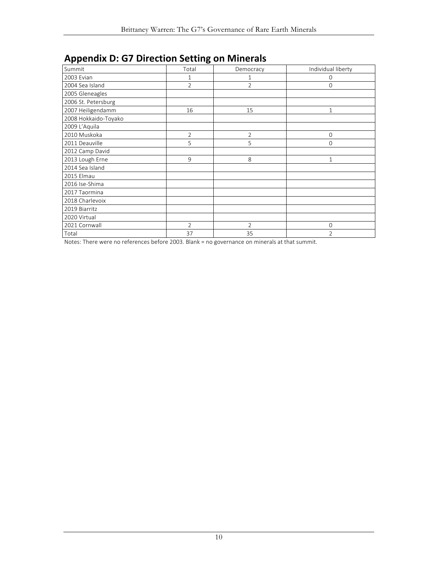| <b>Appendix D. O. Direction Setting University</b> |                |                |                    |
|----------------------------------------------------|----------------|----------------|--------------------|
| Summit                                             | Total          | Democracy      | Individual liberty |
| 2003 Evian                                         | 1              |                | 0                  |
| 2004 Sea Island                                    | $\overline{2}$ | $\overline{2}$ | 0                  |
| 2005 Gleneagles                                    |                |                |                    |
| 2006 St. Petersburg                                |                |                |                    |
| 2007 Heiligendamm                                  | 16             | 15             | $\mathbf{1}$       |
| 2008 Hokkaido-Toyako                               |                |                |                    |
| 2009 L'Aquila                                      |                |                |                    |
| 2010 Muskoka                                       | $\overline{2}$ | $\overline{2}$ | 0                  |
| 2011 Deauville                                     | 5              | 5              | 0                  |
| 2012 Camp David                                    |                |                |                    |
| 2013 Lough Erne                                    | 9              | 8              | $\mathbf{1}$       |
| 2014 Sea Island                                    |                |                |                    |
| 2015 Elmau                                         |                |                |                    |
| 2016 Ise-Shima                                     |                |                |                    |
| 2017 Taormina                                      |                |                |                    |
| 2018 Charlevoix                                    |                |                |                    |
| 2019 Biarritz                                      |                |                |                    |
| 2020 Virtual                                       |                |                |                    |
| 2021 Cornwall                                      | $\overline{2}$ | $\overline{2}$ | 0                  |
| Total                                              | 37             | 35             | $\overline{2}$     |

### **Appendix D: G7 Direction Setting on Minerals**

Notes: There were no references before 2003. Blank = no governance on minerals at that summit.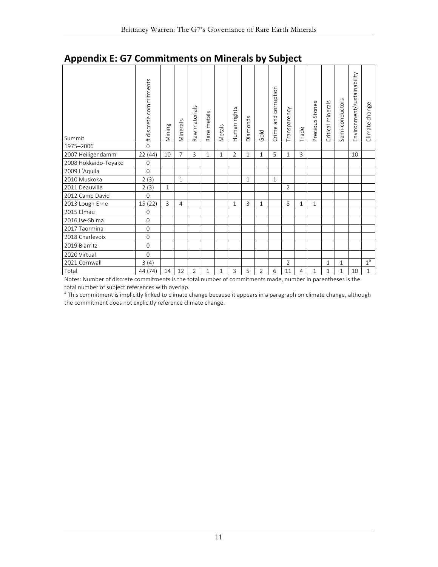| Summit               | # discrete commitments | Mining       | Minerals       | Raw materials  | metals<br>Rare <sub>1</sub> | Metals       | Human rights   | Diamonds     | Gold           | corruption<br>and<br>Crime | Transparency   | Trade | Precious Stones | Critical minerals | Semi-conductors | Environment/sustainability | change<br>Climate |
|----------------------|------------------------|--------------|----------------|----------------|-----------------------------|--------------|----------------|--------------|----------------|----------------------------|----------------|-------|-----------------|-------------------|-----------------|----------------------------|-------------------|
| 1975-2006            | $\overline{0}$         |              |                |                |                             |              |                |              |                |                            |                |       |                 |                   |                 |                            |                   |
| 2007 Heiligendamm    | 22(44)                 | 10           | $\overline{7}$ | 3              | $\mathbf{1}$                | $\mathbf{1}$ | $\overline{2}$ | $\mathbf{1}$ | $\mathbf{1}$   | 5                          | $\mathbf{1}$   | 3     |                 |                   |                 | 10                         |                   |
| 2008 Hokkaido-Toyako | $\mathbf{0}$           |              |                |                |                             |              |                |              |                |                            |                |       |                 |                   |                 |                            |                   |
| 2009 L'Aquila        | $\mathbf{O}$           |              |                |                |                             |              |                |              |                |                            |                |       |                 |                   |                 |                            |                   |
| 2010 Muskoka         | 2(3)                   |              | $\mathbf{1}$   |                |                             |              |                | $\mathbf{1}$ |                | $\mathbf{1}$               |                |       |                 |                   |                 |                            |                   |
| 2011 Deauville       | 2(3)                   | $\mathbf{1}$ |                |                |                             |              |                |              |                |                            | $\overline{2}$ |       |                 |                   |                 |                            |                   |
| 2012 Camp David      | $\mathbf{O}$           |              |                |                |                             |              |                |              |                |                            |                |       |                 |                   |                 |                            |                   |
| 2013 Lough Erne      | 15(22)                 | 3            | 4              |                |                             |              | 1              | 3            | $\mathbf{1}$   |                            | 8              | 1     | $\mathbf{1}$    |                   |                 |                            |                   |
| 2015 Elmau           | $\mathbf{0}$           |              |                |                |                             |              |                |              |                |                            |                |       |                 |                   |                 |                            |                   |
| 2016 Ise-Shima       | $\mathbf 0$            |              |                |                |                             |              |                |              |                |                            |                |       |                 |                   |                 |                            |                   |
| 2017 Taormina        | $\mathbf 0$            |              |                |                |                             |              |                |              |                |                            |                |       |                 |                   |                 |                            |                   |
| 2018 Charlevoix      | $\overline{0}$         |              |                |                |                             |              |                |              |                |                            |                |       |                 |                   |                 |                            |                   |
| 2019 Biarritz        | $\mathbf 0$            |              |                |                |                             |              |                |              |                |                            |                |       |                 |                   |                 |                            |                   |
| 2020 Virtual         | $\mathbf 0$            |              |                |                |                             |              |                |              |                |                            |                |       |                 |                   |                 |                            |                   |
| 2021 Cornwall        | 3(4)                   |              |                |                |                             |              |                |              |                |                            | $\overline{2}$ |       |                 | $\mathbf{1}$      | $\mathbf{1}$    |                            | $1^a$             |
| Total                | 44 (74)                | 14           | 12             | $\overline{2}$ | 1                           | 1            | 3              | 5            | $\overline{2}$ | 6                          | 11             | 4     | $\mathbf{1}$    | 1                 | $\mathbf{1}$    | 10                         | $\mathbf{1}$      |

# **Appendix E: G7 Commitments on Minerals by Subject**

Notes: Number of discrete commitments is the total number of commitments made, number in parentheses is the total number of subject references with overlap.

<sup>a</sup> This commitment is implicitly linked to climate change because it appears in a paragraph on climate change, although the commitment does not explicitly reference climate change.